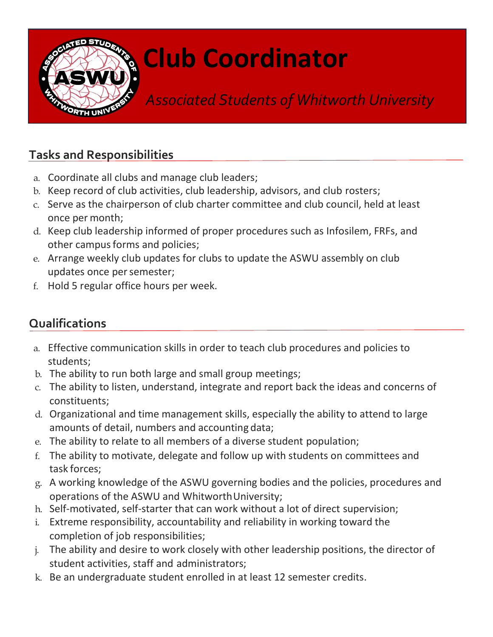

## Club Coordinator

Associated Students of Whitworth University

## Tasks and Responsibilities

- a. Coordinate all clubs and manage club leaders;
- b. Keep record of club activities, club leadership, advisors, and club rosters;
- c. Serve as the chairperson of club charter committee and club council, held at least once per month;
- d. Keep club leadership informed of proper procedures such as Infosilem, FRFs, and other campus forms and policies;
- e. Arrange weekly club updates for clubs to update the ASWU assembly on club updates once per semester;
- f. Hold 5 regular office hours per week.

## Qualifications

- a. Effective communication skills in order to teach club procedures and policies to students;
- b. The ability to run both large and small group meetings;
- c. The ability to listen, understand, integrate and report back the ideas and concerns of constituents;
- d. Organizational and time management skills, especially the ability to attend to large amounts of detail, numbers and accounting data;
- e. The ability to relate to all members of a diverse student population;
- f. The ability to motivate, delegate and follow up with students on committees and task forces;
- g. A working knowledge of the ASWU governing bodies and the policies, procedures and operations of the ASWU and Whitworth University;
- h. Self-motivated, self-starter that can work without a lot of direct supervision;
- i. Extreme responsibility, accountability and reliability in working toward the completion of job responsibilities;
- j. The ability and desire to work closely with other leadership positions, the director of student activities, staff and administrators;
- k. Be an undergraduate student enrolled in at least 12 semester credits.